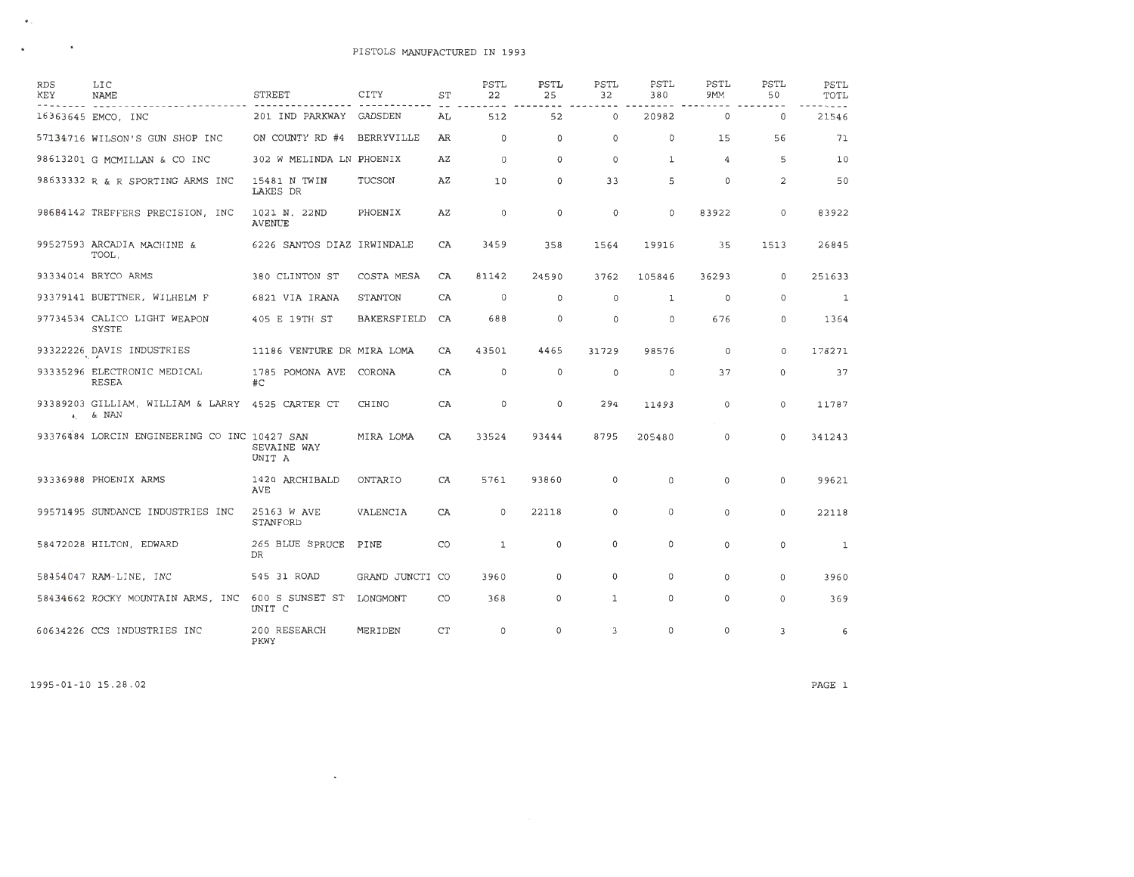| RDS<br>KEY | LIC<br><b>NAME</b>                           | STREET                     | CITY               | ST  | PSTL<br>22   | PSTL<br>25 | PSTL<br>32   | PSTL<br>380  | PSTL<br>9MM | PSTL<br>50     | PSTL<br>TOTL |
|------------|----------------------------------------------|----------------------------|--------------------|-----|--------------|------------|--------------|--------------|-------------|----------------|--------------|
|            | 16363645 EMCO, INC                           | 201 IND PARKWAY            | GADSDEN            | AL. | 512          | 52         | $\circ$      | 20982        | $\circ$     | 0              | 21546        |
|            | 57134716 WILSON'S GUN SHOP INC               | ON COUNTY RD #4            | <b>BERRYVILLE</b>  | AR  | $\circ$      | $\circ$    | $\circ$      | 0            | 15          | 56             | 71           |
|            | 98613201 G MCMILLAN & CO INC                 | 302 W MELINDA LN PHOENIX   |                    | ΑZ  | $\circ$      | 0          | $\circ$      | 1            | 4           | 5              | 10           |
|            | 98633332 R & R SPORTING ARMS INC             | 15481 N TWIN<br>LAKES DR   | TUCSON             | AZ  | 10           | 0          | 33           | 5            | $\Omega$    | 2              | 50           |
|            | 98684142 TREFFERS PRECISION, INC             | 1021 N. 22ND<br>AVENUE     | PHOENIX            | ΑZ  | $\circ$      | 0          | $\circ$      | 0            | 83922       | $\circ$        | 83922        |
|            | 99527593 ARCADIA MACHINE &<br>TOOL,          | 6226 SANTOS DIAZ IRWINDALE |                    | CA  | 3459         | 358        | 1564         | 19916        | 35          | 1513           | 26845        |
|            | 93334014 BRYCO ARMS                          | 380 CLINTON ST             | COSTA MESA         | CA  | 81142        | 24590      | 3762         | 105846       | 36293       | 0              | 251633       |
|            | 93379141 BUETTNER, WILHELM F                 | 6821 VIA IRANA             | <b>STANTON</b>     | CA  | $\circ$      | $\circ$    | $\circ$      | $\mathbf{1}$ | $\circ$     | $\circ$        | <sup>1</sup> |
|            | 97734534 CALICO LIGHT WEAPON<br>SYSTE        | 405 E 19TH ST              | <b>BAKERSFIELD</b> | CA  | 688          | $\circ$    | 0            | 0            | 676         | $\circ$        | 1364         |
|            | 93322226 DAVIS INDUSTRIES                    | 11186 VENTURE DR MIRA LOMA |                    | CA  | 43501        | 4465       | 31729        | 98576        | $\circ$     | $\circ$        | 178271       |
|            | 93335296 ELECTRONIC MEDICAL<br>RESEA         | 1785 POMONA AVE<br>#C      | CORONA             | CA  | $\circ$      | $\circ$    | $\circ$      | $\circ$      | 37          | $\overline{0}$ | 37           |
| 4.         | 93389203 GILLIAM, WILLIAM & LARRY<br>& NAN   | 4525 CARTER CT             | CHINO              | CA  | $\circ$      | $\Omega$   | 294          | 11493        | $\circ$     | $\Omega$       | 11787        |
|            | 93376484 LORCIN ENGINEERING CO INC 10427 SAN | SEVAINE WAY<br>UNIT A      | MIRA LOMA          | CA  | 33524        | 93444      | 8795         | 205480       | $\circ$     | 0              | 341243       |
|            | 93336988 PHOENIX ARMS                        | 1420 ARCHIBALD<br>AVE      | ONTARIO            | CA  | 5761         | 93860      | $\circ$      | $\circ$      | $\circ$     | $\mathbf 0$    | 99621        |
|            | 99571495 SUNDANCE INDUSTRIES INC             | 25163 W AVE<br>STANFORD    | VALENCIA           | CA  | $\circ$      | 22118      | 0            | $\circ$      | $\circ$     | 0              | 22118        |
|            | 58472028 HILTON, EDWARD                      | 265 BLUE SPRUCE<br>DR      | PINE               | CO  | $\mathbf{1}$ | 0          | 0            | $\circ$      | $\circ$     | 0              | 1            |
|            | 58454047 RAM-LINE, INC                       | 545 31 ROAD                | GRAND JUNCTI CO    |     | 3960         | $\Omega$   | 0            | $\circ$      | $\circ$     | 0              | 3960         |
|            | 58434662 ROCKY MOUNTAIN ARMS, INC            | 600 S SUNSET ST<br>UNIT C  | LONGMONT           | CO  | 368          | $\circ$    | $\mathbf{1}$ | $\circ$      | $\circ$     | $\circ$        | 369          |
|            | 60634226 CCS INDUSTRIES INC                  | 200 RESEARCH<br>PKWY       | MERIDEN            | CT  | $\circ$      | 0          | 3            | $\circ$      | $\circ$     | 3              | 6            |

 $\sim 100$  km  $^{-1}$ 

1995-01- 10 15. 28 . 02

 $\sim 100$  km s  $^{-1}$ 

 $\Delta \phi = 0.01$  ,  $\Delta \phi$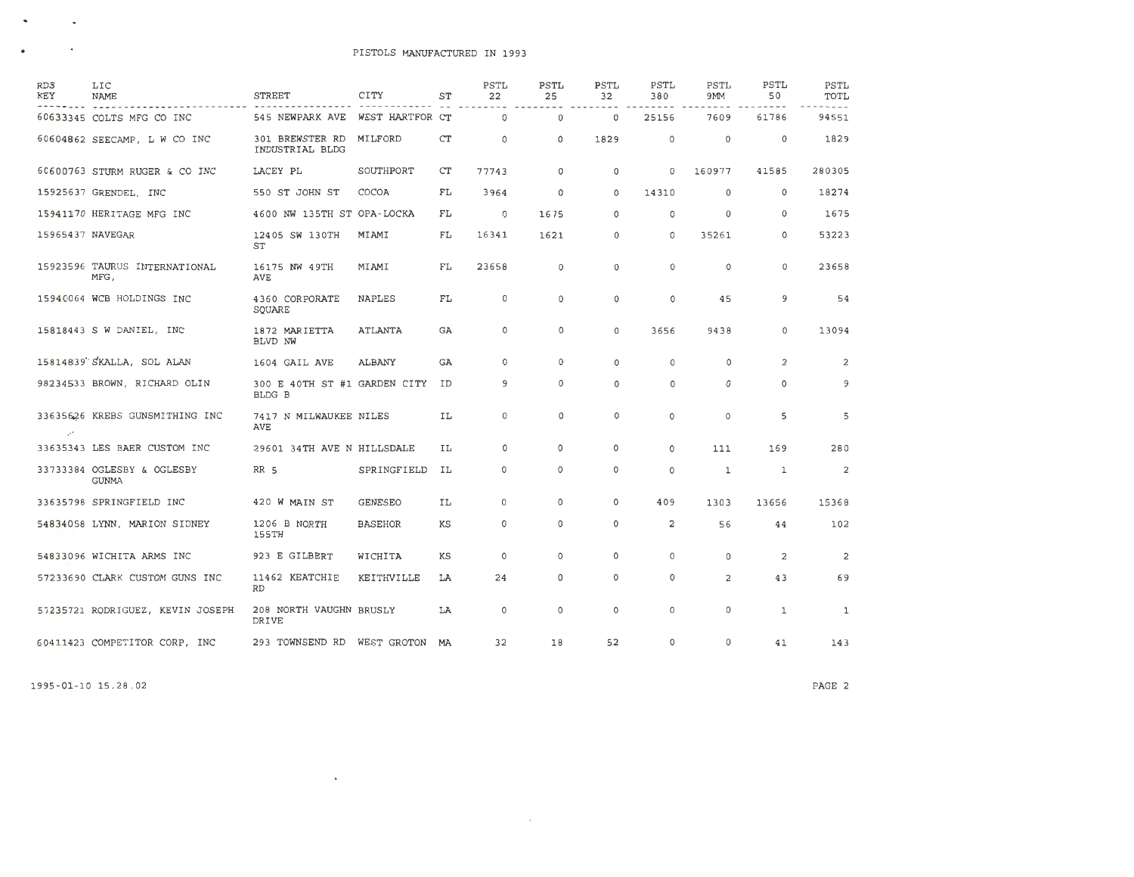| <b>RDS</b><br>KEY   | LIC<br><b>NAME</b>                         | <b>STREET</b>                                 | CITY            | SТ  | PSTL<br>22  | PSTL<br>25   | <b>PSTL</b><br>32 | PSTL<br>380  | PSTL<br>9MM    | PSTL<br>50   | PSTL<br>TOTL   |
|---------------------|--------------------------------------------|-----------------------------------------------|-----------------|-----|-------------|--------------|-------------------|--------------|----------------|--------------|----------------|
|                     | 60633345 COLTS MFG CO INC                  | 545 NEWPARK AVE                               | WEST HARTFOR CT |     | $\mathbf 0$ | $\Omega$     | $\circ$           | 25156        | 7609           | 61786        | 94551          |
|                     | 60604862 SEECAMP, L W CO INC               | 301 BREWSTER RD<br>INDUSTRIAL BLDG            | MILFORD         | CT  | 0           | 0            | 1829              | 0            | $\mathbf 0$    | $\mathbf 0$  | 1829           |
|                     | 60600763 STURM RUGER & CO INC              | LACEY PL                                      | SOUTHPORT       | CT  | 77743       | 0            | $\circ$           | 0            | 160977         | 41585        | 280305         |
|                     | 15925637 GRENDEL, INC                      | 550 ST JOHN ST                                | COCOA           | FL  | 3964        | 0            | $\circ$           | 14310        | $\mathbf 0$    | $\mathbf{0}$ | 18274          |
|                     | 15941170 HERITAGE MFG INC                  | 4600 NW 135TH ST OPA-LOCKA                    |                 | FL  | $\circ$     | 1675         | $\circ$           | 0            | $\circ$        | 0            | 1675           |
| 15965437 NAVEGAR    |                                            | 12405 SW 130TH<br>ST                          | MIAMI           | FL. | 16341       | 1621         | 0                 | $\circ$      | 35261          | $\circ$      | 53223          |
|                     | 15923596 TAURUS INTERNATIONAL<br>MFG,      | 16175 NW 49TH<br>AVE                          | MIAMI           | FL  | 23658       | 0            | $\Omega$          | $\mathbf{0}$ | $\circ$        | $\Omega$     | 23658          |
|                     | 15940064 WCB HOLDINGS INC                  | 4360 CORPORATE<br>SQUARE                      | <b>NAPLES</b>   | FL  | 0           | $\mathbf{0}$ | $\mathbf{0}$      | $\circ$      | 45             | 9            | 54             |
|                     | 15818443 S W DANIEL, INC                   | 1872 MARIETTA<br>BLVD NW                      | <b>ATLANTA</b>  | GA  | $\circ$     | $\circ$      | $\Omega$          | 3656         | 9438           | $^{\circ}$   | 13094          |
|                     | 15814839 SKALLA, SOL ALAN                  | 1604 GAIL AVE                                 | ALBANY          | GA  | 0           | 0            | $\circ$           | $\circ$      | 0              | 2            | 2              |
|                     | 98234533 BROWN, RICHARD OLIN               | 300 E 40TH ST #1 GARDEN CITY<br><b>BLDG B</b> |                 | ID  | 9           | 0            | $\circ$           | 0            | $\circ$        | $\circ$      | 9              |
| $\mathcal{C}^{\pm}$ | 33635626 KREBS GUNSMITHING INC             | 7417 N MILWAUKEE NILES<br>AVE                 |                 | ΙL  | 0           | 0            | $\circ$           | $\circ$      | $\mathbf 0$    | 5            | 5              |
|                     | 33635343 LES BAER CUSTOM INC               | 29601 34TH AVE N HILLSDALE                    |                 | IL. | 0           | $\circ$      | $\circ$           | 0            | 111            | 169          | 280            |
|                     | 33733384 OGLESBY & OGLESBY<br><b>GUNMA</b> | RR 5                                          | SPRINGFIELD     | IL  | $\circ$     | $\circ$      | $\circ$           | $\circ$      | $\mathbf{1}$   | 1            | $\overline{c}$ |
|                     | 33635798 SPRINGFIELD INC                   | 420 W MAIN ST                                 | GENESEO         | IL  | 0           | 0            | 0                 | 409          | 1303           | 13656        | 15368          |
|                     | 54834058 LYNN, MARION SIDNEY               | 1206 B NORTH<br>155TH                         | <b>BASEHOR</b>  | KS  | 0           | 0            | $\circ$           | 2            | 56             | 44           | 102            |
|                     | 54833096 WICHITA ARMS INC                  | 923 E GILBERT                                 | WICHITA         | ΚS  | 0           | 0            | $\circ$           | 0            | $\mathbf 0$    | 2            | $\overline{c}$ |
|                     | 57233690 CLARK CUSTOM GUNS INC             | 11462 KEATCHIE<br>RD                          | KEITHVILLE      | LA  | 24          | 0            | 0                 | 0            | $\overline{a}$ | 43           | 69             |
|                     | 57235721 RODRIGUEZ, KEVIN JOSEPH           | 208 NORTH VAUGHN BRUSLY<br>DRIVE              |                 | LA  | 0           | $\circ$      | $\circ$           | 0            | $\circ$        | $\mathbf{1}$ | $\mathbf{1}$   |
|                     | 60411423 COMPETITOR CORP, INC              | 293 TOWNSEND RD WEST GROTON MA                |                 |     | 32          | 18           | 52                | $\circ$      | $\mathbf{0}$   | 41           | 143            |

 $\mathcal{L}^{\mathcal{L}}(\mathcal{L}^{\mathcal{L}}(\mathcal{L}^{\mathcal{L}}(\mathcal{L}^{\mathcal{L}}(\mathcal{L}^{\mathcal{L}}(\mathcal{L}^{\mathcal{L}}(\mathcal{L}^{\mathcal{L}}(\mathcal{L}^{\mathcal{L}}(\mathcal{L}^{\mathcal{L}}(\mathcal{L}^{\mathcal{L}}(\mathcal{L}^{\mathcal{L}}(\mathcal{L}^{\mathcal{L}}(\mathcal{L}^{\mathcal{L}}(\mathcal{L}^{\mathcal{L}}(\mathcal{L}^{\mathcal{L}}(\mathcal{L}^{\mathcal{L}}(\mathcal{L}^{\mathcal{L$ 

and the state of the

1995-01-10 15. 28 .02

**Contract Contract**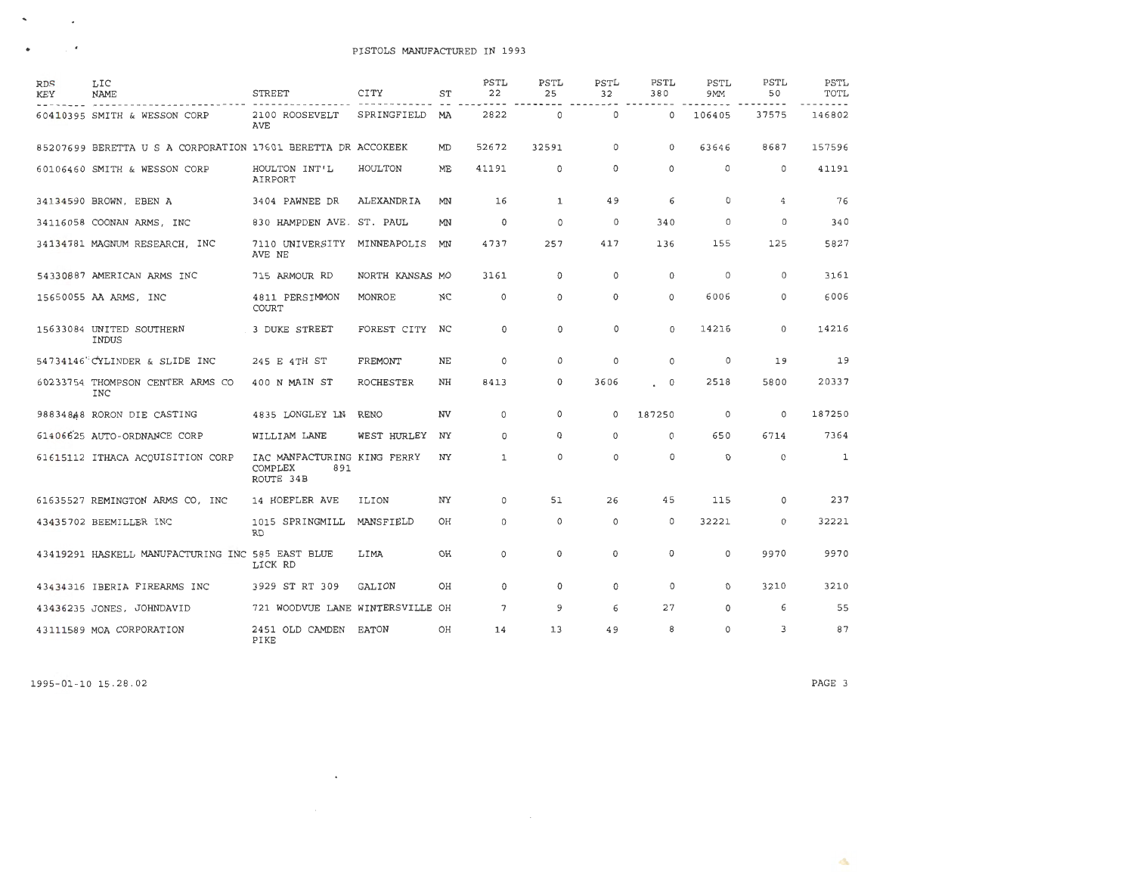| <b>RDS</b><br>KEY | LIC<br><b>NAME</b>                                           | <b>STREET</b>                                              | CITY              | ST | PSTL<br>22   | PSTL<br>25   | PSTL<br>32 | PSTL<br>380 | PSTL<br>9MM | PSTL<br>50 | PSTL<br>TOTL |
|-------------------|--------------------------------------------------------------|------------------------------------------------------------|-------------------|----|--------------|--------------|------------|-------------|-------------|------------|--------------|
|                   | 60410395 SMITH & WESSON CORP                                 | 2100 ROOSEVELT<br>AVE                                      | SPRINGFIELD       | MA | 2822         | $\circ$      | $\Omega$   | $\Omega$    | 106405      | 37575      | 146802       |
|                   | 85207699 BERETTA U S A CORPORATION 17601 BERETTA DR ACCOKEEK |                                                            |                   | MD | 52672        | 32591        | $\circ$    | $\Omega$    | 63646       | 8687       | 157596       |
|                   | 60106460 SMITH & WESSON CORP                                 | HOULTON INT'L<br>AIRPORT                                   | HOULTON           | ME | 41191        | 0            | 0          | 0           | 0           | 0          | 41191        |
|                   | 34134590 BROWN, EBEN A                                       | 3404 PAWNEE DR                                             | <b>ALEXANDRIA</b> | MN | 16           | $\mathbf{1}$ | 49         | 6           | $\circ$     | 4          | 76           |
|                   | 34116058 COONAN ARMS, INC                                    | 830 HAMPDEN AVE. ST. PAUL                                  |                   | MN | $\Omega$     | $\circ$      | $\Omega$   | 340         | $\Omega$    | $\Omega$   | 340          |
|                   | 34134781 MAGNUM RESEARCH, INC                                | 7110 UNIVERSITY<br>AVE NE                                  | MINNEAPOLIS       | MN | 4737         | 257          | 417        | 136         | 155         | 125        | 5827         |
|                   | 54330887 AMERICAN ARMS INC                                   | 715 ARMOUR RD                                              | NORTH KANSAS MO   |    | 3161         | $\Omega$     | $\Omega$   | $^{\circ}$  | $\Omega$    | 0          | 3161         |
|                   | 15650055 AA ARMS, INC                                        | 4811 PERSIMMON<br><b>COURT</b>                             | MONROE            | NC | $\circ$      | 0            | $\Omega$   | $\Omega$    | 6006        | 0          | 6006         |
|                   | 15633084 UNITED SOUTHERN<br>INDUS                            | 3 DUKE STREET                                              | FOREST CITY       | NC | $\Omega$     | 0            | $\Omega$   | $\Omega$    | 14216       | 0          | 14216        |
|                   | 54734146 CYLINDER & SLIDE INC                                | 245 E 4TH ST                                               | <b>FREMONT</b>    | NE | $\circ$      | 0            | $\circ$    | $\circ$     | 0           | 19         | 19           |
|                   | 60233754 THOMPSON CENTER ARMS CO<br><b>INC</b>               | 400 N MAIN ST                                              | ROCHESTER         | NH | 8413         | 0            | 3606       | $\circ$     | 2518        | 5800       | 20337        |
|                   | 98834848 RORON DIE CASTING                                   | 4835 LONGLEY LN                                            | <b>RENO</b>       | NV | $\mathbf{0}$ | 0            | $\circ$    | 187250      | $\circ$     | $\circ$    | 187250       |
|                   | 61406625 AUTO-ORDNANCE CORP                                  | WILLIAM LANE                                               | WEST HURLEY       | NY | $^{\circ}$   | $\Omega$     | $\Omega$   | $\circ$     | 650         | 6714       | 7364         |
|                   | 61615112 ITHACA ACQUISITION CORP                             | IAC MANFACTURING KING FERRY<br>COMPLEX<br>891<br>ROUTE 34B |                   | NY | 1            | 0            | $\Omega$   | $\Omega$    | 0           | C          | 1            |
|                   | 61635527 REMINGTON ARMS CO, INC                              | 14 HOEFLER AVE                                             | ILION             | NY | 0            | 51           | 26         | 45          | 115         | 0          | 237          |
|                   | 43435702 BEEMILLER INC                                       | 1015 SPRINGMILL<br><b>RD</b>                               | MANSFIELD         | OH | $\mathbf 0$  | 0            | $\circ$    | $\circ$     | 32221       | 0          | 32221        |
|                   | 43419291 HASKELL MANUFACTURING INC 585 EAST BLUE             | LICK RD                                                    | LIMA              | OH | 0            | 0            | 0          | 0           | $\circ$     | 9970       | 9970         |
|                   | 43434316 IBERIA FIREARMS INC                                 | 3929 ST RT 309                                             | <b>GALION</b>     | OH | 0            | 0            | 0          | $\circ$     | 0           | 3210       | 3210         |
|                   | 43436235 JONES, JOHNDAVID                                    | 721 WOODVUE LANE WINTERSVILLE OH                           |                   |    | 7            | 9            | 6          | 27          | 0           | 6          | 55           |
|                   | 43111589 MOA CORPORATION                                     | 2451 OLD CAMDEN<br>PIKE                                    | EATON             | OH | 14           | 13           | 49         | 8           | 0           | 3          | 87           |

the control of the control of the

1995-01 -10 15 .28.02

 $\mathcal{A}^{\mathcal{A}}$  , and  $\mathcal{A}^{\mathcal{A}}$  $\bullet$  . <br> <br> <br> <br> <br> <br> <br> <br> <br> <br><br><br> <br><br><br><br>

PAGE 3

 $\Delta$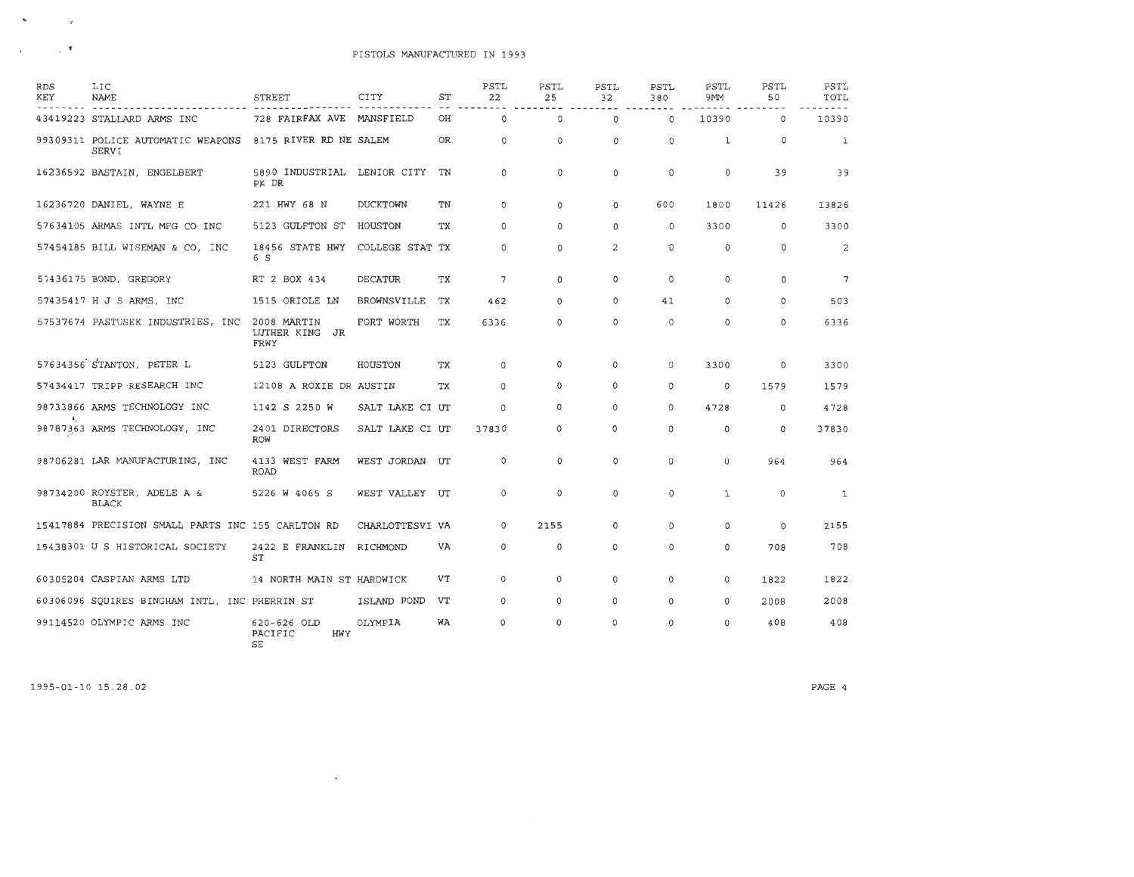## , PISTOLS MANUFACTURED IN 1993

| <b>RDS</b><br>KEY | LIC<br>NAME                                       | <b>STREET</b>                              | CITY            | ST        | PSTL<br>22     | PSTL<br>25 | <b>PSTL</b><br>32 | <b>PSTL</b><br>380 | PSTL<br>9MM  | PSTL<br>50 | PSTL<br>TOTL |
|-------------------|---------------------------------------------------|--------------------------------------------|-----------------|-----------|----------------|------------|-------------------|--------------------|--------------|------------|--------------|
|                   | 43419223 STALLARD ARMS INC                        | 728 FAIRFAX AVE MANSFIELD                  |                 | OН        | $\Omega$       | $\circ$    | $\circ$           | 0                  | 10390        | $\circ$    | 10390        |
|                   | 99309311 POLICE AUTOMATIC WEAPONS<br>SERVI        | 8175 RIVER RD NE SALEM                     |                 | <b>OR</b> | 0              | $\circ$    | 0                 | 0                  | $\mathbf{1}$ | 0          | 1            |
|                   | 16236592 BASTAIN, ENGELBERT                       | 5890 INDUSTRIAL LENIOR CITY<br>PK DR       |                 | TN        | $\Omega$       | 0          | 0                 | 0                  | 0            | 39         | 39           |
|                   | 16236720 DANIEL, WAYNE E                          | 221 HWY 68 N                               | DUCKTOWN        | TN        | $\circ$        | 0          | 0                 | 600                | 1800         | 11426      | 13826        |
|                   | 57634105 ARMAS INTL MFG CO INC                    | 5123 GULFTON ST                            | HOUSTON         | TX        | $\Omega$       | $\Omega$   | 0                 | $\circ$            | 3300         | 0          | 3300         |
|                   | 57454185 BILL WISEMAN & CO, INC                   | 18456 STATE HWY<br>6 S                     | COLLEGE STAT TX |           | $\circ$        | 0          | 2                 | 0                  | 0            | 0          | 2            |
|                   | 57436175 BOND, GREGORY                            | RT 2 BOX 434                               | <b>DECATUR</b>  | ТX        | $\overline{7}$ | $\Omega$   | $\circ$           | 0                  | $\Omega$     | $\circ$    | 7            |
|                   | 57435417 H J S ARMS, INC                          | 1515 ORIOLE LN                             | BROWNSVILLE     | ТX        | 462            | 0          | 0                 | 41                 | 0            | 0          | 503          |
|                   | 57537674 PASTUSEK INDUSTRIES, INC.                | 2008 MARTIN<br>LUTHER KING JR<br>FRWY      | FORT WORTH      | TX        | 6336           | 0          | 0                 | $\circ$            | $\circ$      | 0          | 6336         |
|                   | 57634356 STANTON, PETER L                         | 5123 GULFTON                               | HOUSTON         | ТX        | $\circ$        | $\Omega$   | $\circ$           | $\Omega$           | 3300         | 0          | 3300         |
|                   | 57434417 TRIPP RESEARCH INC                       | 12108 A ROXIE DR AUSTIN                    |                 | ТX        | 0              | $\Omega$   | 0                 | 0                  | $\circ$      | 1579       | 1579         |
|                   | 98733866 ARMS TECHNOLOGY INC                      | 1142 S 2250 W                              | SALT LAKE CI UT |           | $\Omega$       | $\circ$    | 0                 | $\circ$            | 4728         | $\circ$    | 4728         |
| 4,                | 98787363 ARMS TECHNOLOGY, INC                     | 2401 DIRECTORS<br><b>ROW</b>               | SALT LAKE CI UT |           | 37830          | $\circ$    | 0                 | $\circ$            | 0            | $\circ$    | 37830        |
|                   | 98706281 LAR MANUFACTURING, INC                   | 4133 WEST FARM<br><b>ROAD</b>              | WEST JORDAN     | UT        | 0              | 0          | 0                 | 0                  | $\Omega$     | 964        | 964          |
|                   | 98734200 ROYSTER, ADELE A &<br><b>BLACK</b>       | 5226 W 4065 S                              | WEST VALLEY     | UT        | $\Omega$       | 0          | 0                 | 0                  | 1            | $\circ$    | $\mathbf{1}$ |
|                   | 15417884 PRECISION SMALL PARTS INC 155 CARLTON RD |                                            | CHARLOTTESVI VA |           | $\Omega$       | 2155       | 0                 | 0                  | 0            | $\circ$    | 2155         |
|                   | 15438301 U S HISTORICAL SOCIETY                   | 2422 E FRANKLIN<br>ST                      | RICHMOND        | VA        | 0              | 0          | 0                 | 0                  | 0            | 708        | 708          |
|                   | 60305204 CASPIAN ARMS LTD                         | 14 NORTH MAIN ST HARDWICK                  |                 | VT        | $\Omega$       | $\circ$    | $\circ$           | 0                  | $\circ$      | 1822       | 1822         |
|                   | 60306096 SQUIRES BINGHAM INTL, INC PHERRIN ST     |                                            | ISLAND POND     | VT        | 0              | 0          | 0                 | $\circ$            | $\circ$      | 2008       | 2008         |
|                   | 99114520 OLYMPIC ARMS INC                         | 620-626 OLD<br>PACIFIC<br>HWY<br><b>SE</b> | OLYMPIA         | WA        | 0              | 0          | 0                 | $\Omega$           | 0            | 408        | 408          |

 $\sim$   $\sim$ 

1995-01-1 0 15. 28.02

 $\mathbf{A}=\mathbf{A}^T\mathbf{A}$  and  $\mathbf{A}=\mathbf{A}$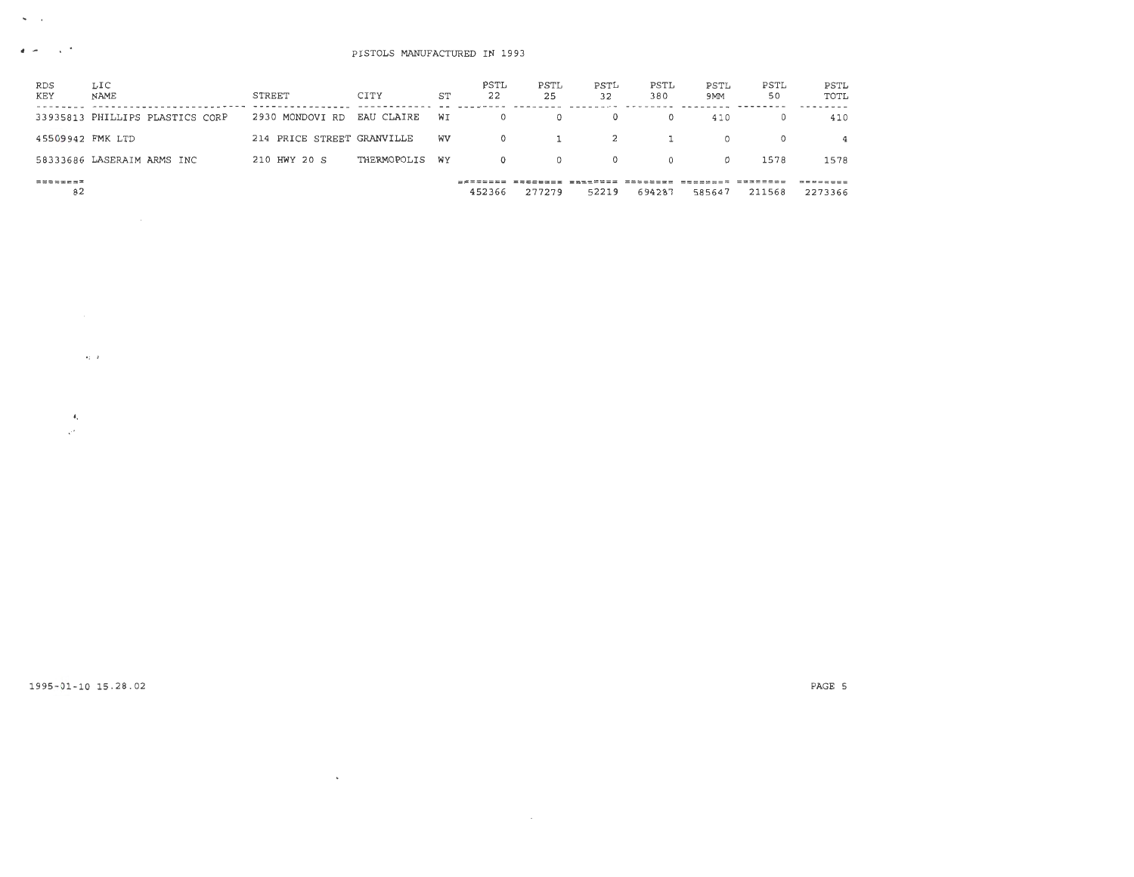| RDS<br>KEY                                | LIC<br>NAME                     | <b>STREET</b>              | CITY           | ST | PSTL<br>22 | PSTL<br>25 | PSTL<br>32   | PSTL<br>380 | PSTL<br>9MM | PSTL<br>50 | PSTL<br>TOTL |
|-------------------------------------------|---------------------------------|----------------------------|----------------|----|------------|------------|--------------|-------------|-------------|------------|--------------|
|                                           | 33935813 PHILLIPS PLASTICS CORP | 2930 MONDOVI RD            | EAU CLAIRE     | WI | $\circ$    | $^{\circ}$ | $^{\circ}$   | $\Omega$    | 410         | $\Omega$   | 410          |
| 45509942 FMK LTD                          |                                 | 214 PRICE STREET GRANVILLE |                | WV | $\circ$    |            | <sup>2</sup> |             | $\Omega$    | $\Omega$   | 4            |
|                                           | 58333686 LASERAIM ARMS INC      | 210 HWY 20 S               | THERMOPOLIS WY |    | $\Omega$   | $\circ$    | $\Omega$     | $\Omega$    | $\Omega$    | 1578       | 1578         |
| $=$ $=$ $=$ $=$ $=$ $=$ $=$ $=$ $=$<br>82 |                                 |                            |                |    | 452366     | 277279     | 52219        | 694287      | 585647      | 211568     | 2273366      |

 $\sim$ 

 $\mathcal{L}^{\text{max}}_{\text{max}}$  ,  $\mathcal{L}^{\text{max}}_{\text{max}}$ 

 $\bullet$  .

 $\mathcal{C}^{\mathcal{F}}$ 

 $\bullet\colon\quad\mathcal{F}$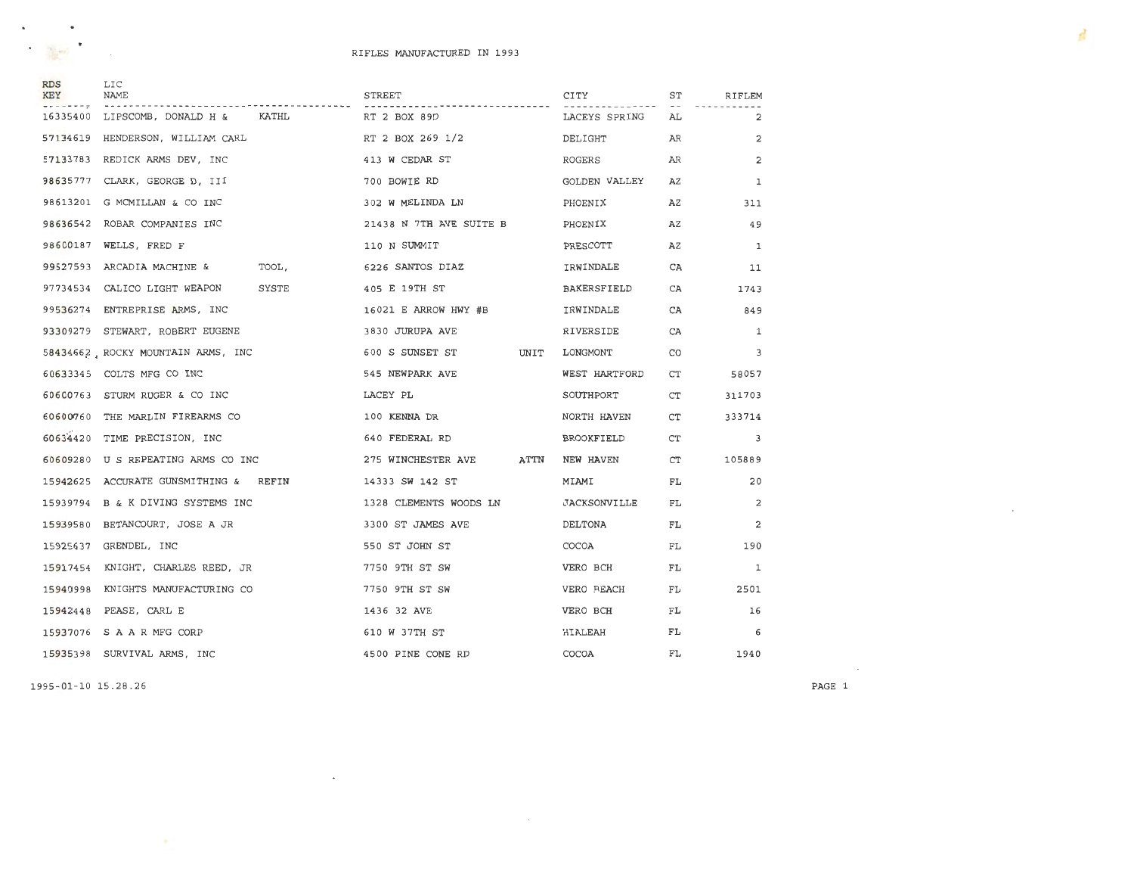$\sim$   $\sim$ 

 $\mathbf{A}$  and  $\mathbf{A}$  are  $\mathbf{A}$ 

| <b>RDS</b><br>KEY | LIC<br>NAME                           |       | STREET                         | CITY          | SТ | <b>RIFLEM</b> |
|-------------------|---------------------------------------|-------|--------------------------------|---------------|----|---------------|
| $- - - - - - - -$ | 16335400 LIPSCOMB, DONALD H & KATHL   |       | RT 2 BOX 89D                   | LACEYS SPRING | AL | 2             |
|                   | 57134619 HENDERSON, WILLIAM CARL      |       | RT 2 BOX 269 1/2               | DELIGHT       | AR | 2             |
|                   | 57133783 REDICK ARMS DEV, INC         |       | 413 W CEDAR ST                 | ROGERS        | AR | 2             |
|                   | 98635777 CLARK, GEORGE D, III         |       | 700 BOWIE RD                   | GOLDEN VALLEY | AZ | 1             |
|                   | 98613201 G MCMILLAN & CO INC          |       | 302 W MELINDA LN               | PHOENIX       | AZ | 311           |
|                   | 98636542 ROBAR COMPANIES INC          |       | 21438 N 7TH AVE SUITE B        | PHOENIX       | AZ | 49            |
|                   | 98600187 WELLS, FRED F                |       | 110 N SUMMIT                   | PRESCOTT      | AZ | 1             |
|                   | 99527593 ARCADIA MACHINE &<br>TOOL,   |       | 6226 SANTOS DIAZ               | IRWINDALE     | CA | 11            |
|                   | 97734534 CALICO LIGHT WEAPON          | SYSTE | 405 E 19TH ST                  | BAKERSFIELD   | CA | 1743          |
|                   | 99536274 ENTREPRISE ARMS, INC         |       | 16021 E ARROW HWY #B           | IRWINDALE     | CA | 849           |
|                   | 93309279 STEWART, ROBERT EUGENE       |       | 3830 JURUPA AVE                | RIVERSIDE     | CA | 1             |
|                   | 58434662, ROCKY MOUNTAIN ARMS, INC    |       | 600 S SUNSET ST<br><b>UNIT</b> | LONGMONT      | CO | 3             |
|                   | 60633345 COLTS MFG CO INC             |       | 545 NEWPARK AVE                | WEST HARTFORD | CT | 58057         |
|                   | 60600763 STURM RUGER & CO INC         |       | LACEY PL                       | SOUTHPORT     | CT | 311703        |
|                   | 60600760 THE MARLIN FIREARMS CO       |       | 100 KENNA DR                   | NORTH HAVEN   | CT | 333714        |
| 60634420          | TIME PRECISION, INC                   |       | 640 FEDERAL RD                 | BROOKFIELD    | СT | 3             |
|                   | 60609280 U S REPEATING ARMS CO INC    |       | 275 WINCHESTER AVE ATTN        | NEW HAVEN     | CT | 105889        |
|                   | 15942625 ACCURATE GUNSMITHING & REFIN |       | 14333 SW 142 ST                | MIAMI         | FL | 20            |
|                   | 15939794 B & K DIVING SYSTEMS INC     |       | 1328 CLEMENTS WOODS LN         | JACKSONVILLE  | FL | 2             |
|                   | 15939580 BETANCOURT, JOSE A JR        |       | 3300 ST JAMES AVE              | DELTONA       | FL | 2             |
|                   | 15925637 GRENDEL, INC                 |       | 550 ST JOHN ST                 | COCOA         | FL | 190           |
|                   | 15917454 KNIGHT, CHARLES REED, JR     |       | 7750 9TH ST SW                 | VERO BCH      | FL | 1             |
|                   | 15940998 KNIGHTS MANUFACTURING CO     |       | 7750 9TH ST SW                 | VERO REACH    | FL | 2501          |
|                   | 15942448 PEASE, CARL E                |       | 1436 32 AVE                    | VERO BCH      | FL | 16            |
|                   | 15937076 S A A R MFG CORP             |       | 610 W 37TH ST                  | HIALEAH       | FL | 6             |
|                   | 15935398 SURVIVAL ARMS, INC           |       | 4500 PINE CONE RD              | COCOA         | FL | 1940          |

 $\sim$   $\sim$ 

 $\mathcal{L}^{\mathcal{L}}(\mathcal{L}^{\mathcal{L}}(\mathcal{L}^{\mathcal{L}}(\mathcal{L}^{\mathcal{L}}(\mathcal{L}^{\mathcal{L}}(\mathcal{L}^{\mathcal{L}}(\mathcal{L}^{\mathcal{L}}(\mathcal{L}^{\mathcal{L}}(\mathcal{L}^{\mathcal{L}}(\mathcal{L}^{\mathcal{L}}(\mathcal{L}^{\mathcal{L}}(\mathcal{L}^{\mathcal{L}}(\mathcal{L}^{\mathcal{L}}(\mathcal{L}^{\mathcal{L}}(\mathcal{L}^{\mathcal{L}}(\mathcal{L}^{\mathcal{L}}(\mathcal{L}^{\mathcal{L$ 

1995-01-1 0 15 .28.26

 $\sim 10^{-11}$ 

PAGE 1

 $\sim 100$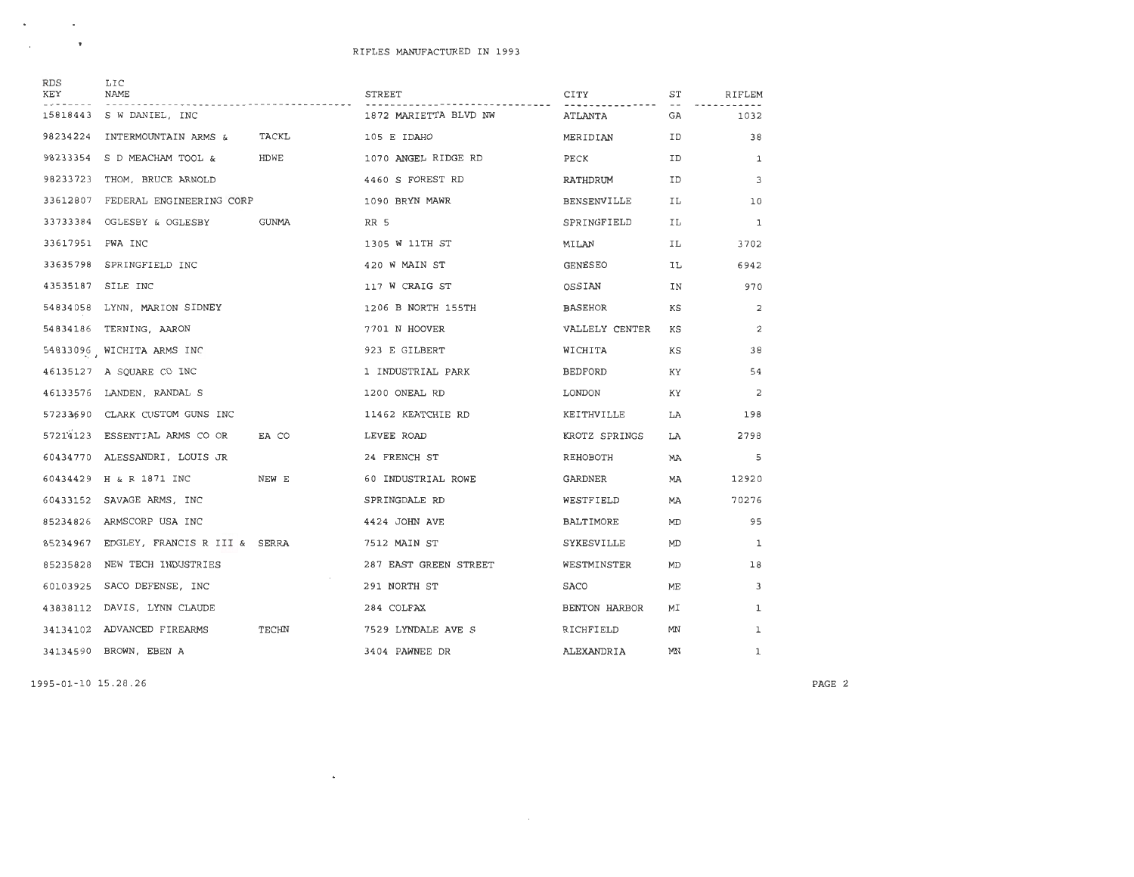| RDS<br>KEY       | LIC<br>NAME                            |                         | STREET                | CITY                 | ST  | RIFLEM       |
|------------------|----------------------------------------|-------------------------|-----------------------|----------------------|-----|--------------|
|                  | 15818443 S W DANIEL, INC               | ----------------------- | 1872 MARIETTA BLVD NW | ATLANTA              | GA  | 1032         |
| 98234224         | INTERMOUNTAIN ARMS & TACKL             |                         | 105 E IDAHO           | MERIDIAN             | ID  | 38           |
|                  | 98233354 S D MEACHAM TOOL &            | HDWE                    | 1070 ANGEL RIDGE RD   | PECK                 | ID  | 1            |
|                  | 98233723 THOM, BRUCE ARNOLD            |                         | 4460 S FOREST RD      | RATHDRUM             | ID  | 3            |
|                  | 33612807 FEDERAL ENGINEERING CORP      |                         | 1090 BRYN MAWR        | BENSENVILLE          | IL  | 10           |
|                  | 33733384 OGLESBY & OGLESBY             | GUNMA                   | RR 5                  | SPRINGFIELD          | IL. | 1            |
| 33617951 PWA INC |                                        |                         | 1305 W 11TH ST        | MILAN                | IL  | 3702         |
|                  | 33635798 SPRINGFIELD INC               |                         | 420 W MAIN ST         | GENESEO              | IL  | 6942         |
|                  | 43535187 SILE INC                      |                         | 117 W CRAIG ST        | OSSIAN               | ΙN  | 970          |
|                  | 54834058 LYNN, MARION SIDNEY           |                         | 1206 B NORTH 155TH    | BASEHOR              | КS  | 2            |
|                  | 54834186 TERNING, AARON                |                         | 7701 N HOOVER         | VALLELY CENTER       | КS  | 2            |
|                  | 54833096 WICHITA ARMS INC              |                         | 923 E GILBERT         | WICHITA              | КS  | 38           |
|                  | 46135127 A SOUARE CO INC               |                         | 1 INDUSTRIAL PARK     | BEDFORD              | KY  | 54           |
|                  | 46133576 LANDEN, RANDAL S              |                         | 1200 ONEAL RD         | LONDON               | ΚY  | 2            |
|                  | 57233690 CLARK CUSTOM GUNS INC         |                         | 11462 KEATCHIE RD     | KEITHVILLE           | LA  | 198          |
|                  | 57214123 ESSENTIAL ARMS CO OR          | EA CO                   | LEVEE ROAD            | KROTZ SPRINGS        | LA  | 2798         |
|                  | 60434770 ALESSANDRI, LOUIS JR          |                         | 24 FRENCH ST          | REHOBOTH             | MA  | 5            |
|                  | 60434429 H & R 1871 INC                | NEW E                   | 60 INDUSTRIAL ROWE    | GARDNER              | MA  | 12920        |
|                  | 60433152 SAVAGE ARMS, INC              |                         | SPRINGDALE RD         | WESTFIELD            | MA  | 70276        |
|                  | 85234826 ARMSCORP USA INC              |                         | 4424 JOHN AVE         | BALTIMORE            | MD  | 95           |
|                  | 85234967 EDGLEY, FRANCIS R III & SERRA |                         | 7512 MAIN ST          | SYKESVILLE           | MD  | $\mathbf{1}$ |
|                  | 85235828 NEW TECH INDUSTRIES           |                         | 287 EAST GREEN STREET | WESTMINSTER          | MD  | 18           |
|                  | 60103925 SACO DEFENSE, INC             |                         | 291 NORTH ST          | <b>SACO</b>          | МE  | 3            |
|                  | 43838112 DAVIS, LYNN CLAUDE            |                         | 284 COLFAX            | <b>BENTON HARBOR</b> | MΙ  | $\mathbf{1}$ |
|                  | 34134102 ADVANCED FIREARMS             | TECHN                   | 7529 LYNDALE AVE S    | RICHFIELD            | MN  | 1            |
|                  | 34134590 BROWN, EBEN A                 |                         | 3404 PAWNEE DR        | ALEXANDRIA           | MN  | $\mathbf{1}$ |

 $\sim 100$ 

 $\mathcal{L}^{\text{max}}_{\text{max}}$  .

1995-01- 10 15. 28 . 26

 $\mathcal{A}(\mathcal{A})$  and  $\mathcal{A}(\mathcal{A})$  $\mathcal{L}_{\text{max}}$  and  $\mathcal{L}_{\text{max}}$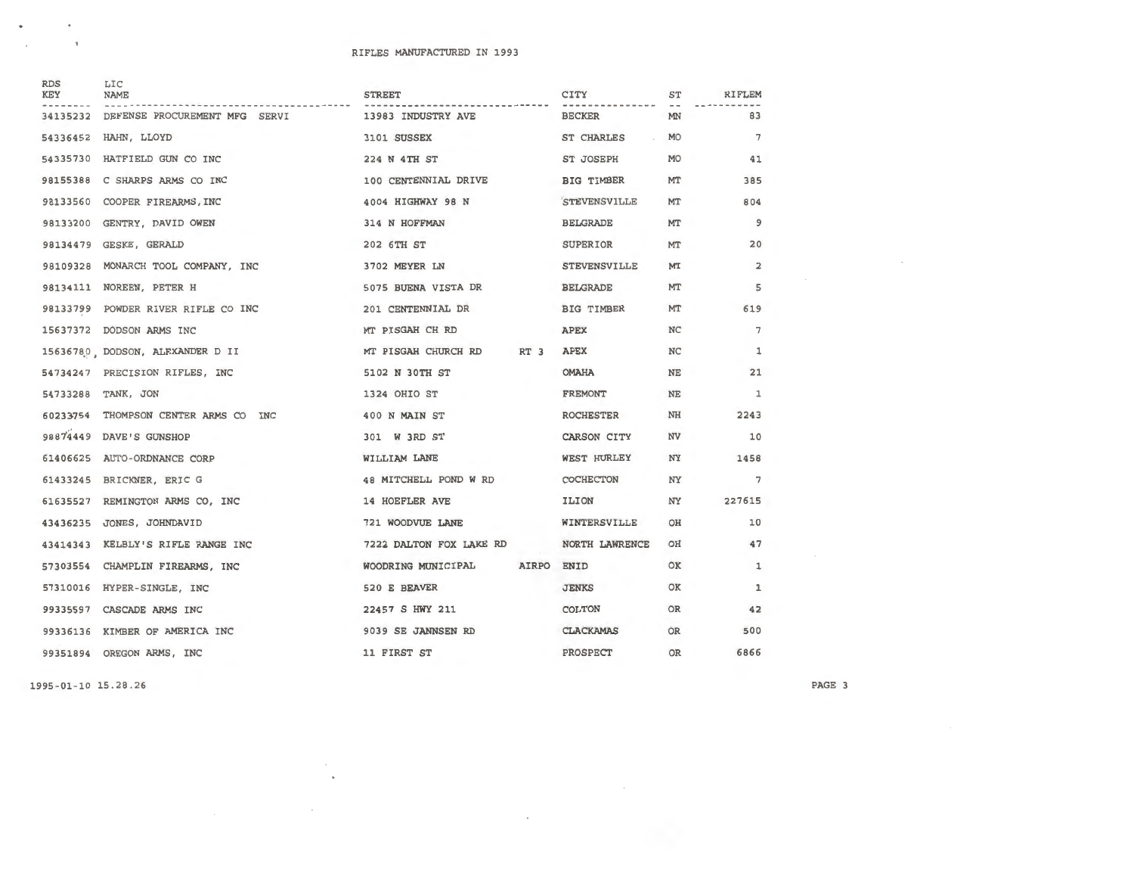| <b>RDS</b><br>KEY | LIC<br><b>NAME</b>                 | <b>STREET</b>                          | CITY                            | ST        | RIFLEM         |
|-------------------|------------------------------------|----------------------------------------|---------------------------------|-----------|----------------|
| 34135232          | DEFENSE PROCUREMENT MFG SERVI      | 13983 INDUSTRY AVE                     | <b>BECKER</b>                   | MN        | 83             |
| 54336452          | HAHN, LLOYD                        | 3101 SUSSEX                            | ST CHARLES<br><b>Contractor</b> | <b>MO</b> | $\overline{7}$ |
| 54335730          | HATFIELD GUN CO INC                | 224 N 4TH ST                           | ST JOSEPH                       | <b>MO</b> | 41             |
|                   | 98155388 C SHARPS ARMS CO INC      | 100 CENTENNIAL DRIVE                   | BIG TIMBER                      | MT        | 385            |
| 98133560          | COOPER FIREARMS, INC               | 4004 HIGHWAY 98 N                      | <b>STEVENSVILLE</b>             | MT        | 804            |
| 98133200          | GENTRY, DAVID OWEN                 | 314 N HOFFMAN                          | <b>BELGRADE</b>                 | MT        | 9              |
|                   | 98134479 GESKE, GERALD             | 202 6TH ST                             | SUPERIOR                        | MT        | 20             |
| 98109328          | MONARCH TOOL COMPANY, INC          | 3702 MEYER LN                          | <b>STEVENSVILLE</b>             | MT        | $\overline{2}$ |
|                   | 98134111 NOREEN, PETER H           | 5075 BUENA VISTA DR                    | <b>BELGRADE</b>                 | MT        | 5              |
|                   | 98133799 POWDER RIVER RIFLE CO INC | 201 CENTENNIAL DR                      | <b>BIG TIMBER</b>               | MT        | 619            |
|                   | 15637372 DODSON ARMS INC           | MT PISGAH CH RD                        | <b>APEX</b>                     | <b>NC</b> | 7              |
|                   | 15636780 DODSON, ALEXANDER D II    | RT <sub>3</sub><br>MT PISGAH CHURCH RD | <b>APEX</b>                     | NC        | 1              |
|                   | 54734247 PRECISION RIFLES, INC     | 5102 N 30TH ST                         | <b>OMAHA</b>                    | NE        | 21             |
|                   | 54733288 TANK, JON                 | 1324 OHIO ST                           | FREMONT                         | <b>NE</b> | $\mathbf{1}$   |
| 60233754          | THOMPSON CENTER ARMS CO INC        | 400 N MAIN ST                          | ROCHESTER                       | NH        | 2243           |
| 98874449          | DAVE'S GUNSHOP                     | 301 W 3RD ST                           | CARSON CITY                     | NV        | 10             |
| 61406625          | AUTO-ORDNANCE CORP                 | WILLIAM LANE                           | WEST HURLEY                     | NY        | 1458           |
|                   | 61433245 BRICKNER, ERIC G          | 48 MITCHELL POND W RD                  | COCHECTON                       | NY        | 7              |
| 61635527          | REMINGTON ARMS CO, INC             | 14 HOEFLER AVE                         | ILION                           | NY        | 227615         |
| 43436235          | JONES, JOHNDAVID                   | 721 WOODVUE LANE                       | WINTERSVILLE                    | OH        | 10             |
|                   | 43414343 KELBLY'S RIFLE RANGE INC  | 7222 DALTON FOX LAKE RD                | NORTH LAWRENCE                  | OH        | 47             |
|                   | 57303554 CHAMPLIN FIREARMS, INC    | AIRPO<br>WOODRING MUNICIPAL            | ENID                            | ОK        | 1              |
|                   | 57310016 HYPER-SINGLE, INC         | 520 E BEAVER                           | <b>JENKS</b>                    | OK        | 1              |
|                   | 99335597 CASCADE ARMS INC          | 22457 S HWY 211                        | COLTON                          | OR        | 42             |
|                   | 99336136 KIMBER OF AMERICA INC     | 9039 SE JANNSEN RD                     | <b>CLACKAMAS</b>                | <b>OR</b> | 500            |
|                   | 99351894 OREGON ARMS, INC          | 11 FIRST ST                            | PROSPECT                        | <b>OR</b> | 6866           |
|                   |                                    |                                        |                                 |           |                |

 $\sim$ 

 $\mathcal{L}^{\text{max}}_{\text{max}}$  and  $\mathcal{L}^{\text{max}}_{\text{max}}$ 

1995-01-10 15.28.26

 $\bullet$ 

 $\alpha$  ,  $\alpha$  ,  $\alpha$  ,  $\alpha$  ,  $\alpha$ 

 $\bullet$ 

PAGE 3

 $\mathcal{L}^{\text{max}}_{\text{max}}$ 

 $\sim$ 

 $\mathcal{L}^{\text{max}}_{\text{max}}$ 

 $\sim 10^{-11}$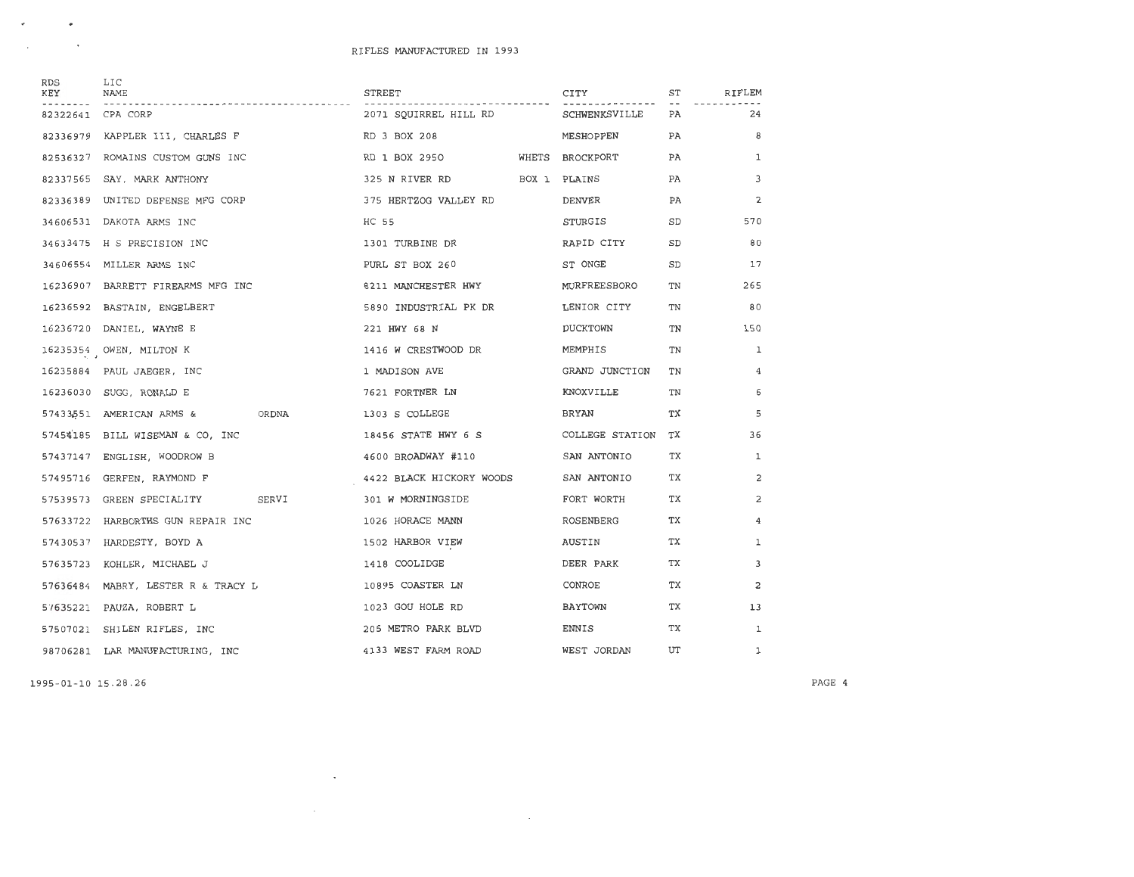| RDS<br>KEY | LIC<br>NAME<br>----------------------------- | STREET                   | CITY               | <b>ST</b> | RIFLEM |
|------------|----------------------------------------------|--------------------------|--------------------|-----------|--------|
|            | 82322641 CPA CORP                            | 2071 SOUIRREL HILL RD    | SCHWENKSVILLE      | PA        | 24     |
|            | 82336979 KAPPLER III, CHARLES F              | RD 3 BOX 208             | MESHOPPEN          | PA        | 8      |
|            | 82536327 ROMAINS CUSTOM GUNS INC             | RD 1 BOX 2950            | WHETS BROCKPORT    | PA.       | 1      |
|            | 82337565 SAY, MARK ANTHONY                   | 325 N RIVER RD           | BOX 1 PLAINS       | PA        | 3      |
|            | 82336389 UNITED DEFENSE MFG CORP             | 375 HERTZOG VALLEY RD    | DENVER             | PA.       | 2      |
|            | 34606531 DAKOTA ARMS INC                     | HC 55                    | STURGIS            | SD.       | 570    |
|            | 34633475 H S PRECISION INC                   | 1301 TURBINE DR          | RAPID CITY         | SD        | 80     |
|            | 34606554 MILLER ARMS INC                     | PURL ST BOX 260          | ST ONGE            | SD        | 17     |
|            | 16236907 BARRETT FIREARMS MFG INC            | 8211 MANCHESTER HWY      | MURFREESBORO       | TN        | 265    |
|            | 16236592 BASTAIN, ENGELBERT                  | 5890 INDUSTRIAL PK DR    | LENIOR CITY        | TN        | 80     |
|            | 16236720 DANIEL, WAYNE E                     | 221 HWY 68 N             | DUCKTOWN           | TN        | 150    |
|            | 16235354 OWEN, MILTON K                      | 1416 W CRESTWOOD DR      | MEMPHIS            | TN        | 1      |
|            | 16235884 PAUL JAEGER, INC                    | 1 MADISON AVE            | GRAND JUNCTION     | TN        | 4      |
|            | 16236030 SUGG, RONALD E                      | 7621 FORTNER LN          | KNOXVILLE          | TN        | 6      |
|            | 57433551 AMERICAN ARMS & ORDNA               | 1303 S COLLEGE           | BRYAN              | ТX        | 5      |
|            | 57454185 BILL WISEMAN & CO, INC              | 18456 STATE HWY 6 S      | COLLEGE STATION TX |           | 36     |
|            | 57437147 ENGLISH, WOODROW B                  | 4600 BROADWAY #110       | SAN ANTONIO        | TX        | 1      |
|            | 57495716 GERFEN, RAYMOND F                   | 4422 BLACK HICKORY WOODS | SAN ANTONIO        | TX        | 2      |
|            | SERVI<br>57539573 GREEN SPECIALITY           | 301 W MORNINGSIDE        | FORT WORTH         | ТX        | 2      |
|            | 57633722 HARBORTHS GUN REPAIR INC            | 1026 HORACE MANN         | ROSENBERG          | ТX        | 4      |
|            | 57430537 HARDESTY, BOYD A                    | 1502 HARBOR VIEW         | AUSTIN             | TX        | 1      |
|            | 57635723 KOHLER, MICHAEL J                   | 1418 COOLIDGE            | DEER PARK          | TX        | 3      |
|            | 57636484 MABRY, LESTER R & TRACY L           | 10895 COASTER LN         | CONROE             | ТX        | 2      |
|            | 57635221 PAUZA, ROBERT L                     | 1023 GOU HOLE RD         | BAYTOWN            | ТX        | 13     |
|            | 57507021 SHILEN RIFLES, INC                  | 205 METRO PARK BLVD      | ENNIS              | ТX        | 1      |
|            | 98706281 LAR MANUFACTURING, INC              | 4133 WEST FARM ROAD      | WEST JORDAN        | UT        | 1      |

and the state of the state of the

 $\mathcal{L}^{\text{max}}_{\text{max}}$  ,  $\mathcal{L}^{\text{max}}_{\text{max}}$ 

 $\mathcal{L}^{\text{max}}_{\text{max}}$  , where  $\mathcal{L}^{\text{max}}_{\text{max}}$ 

1995-01-1 0 15 . 28 . 26

 $\mathcal{A}^{\mathcal{A}}$  , and  $\mathcal{A}^{\mathcal{A}}$  , and  $\mathcal{A}^{\mathcal{A}}$  $\mathcal{L}_{\text{max}}$  and  $\mathcal{L}_{\text{max}}$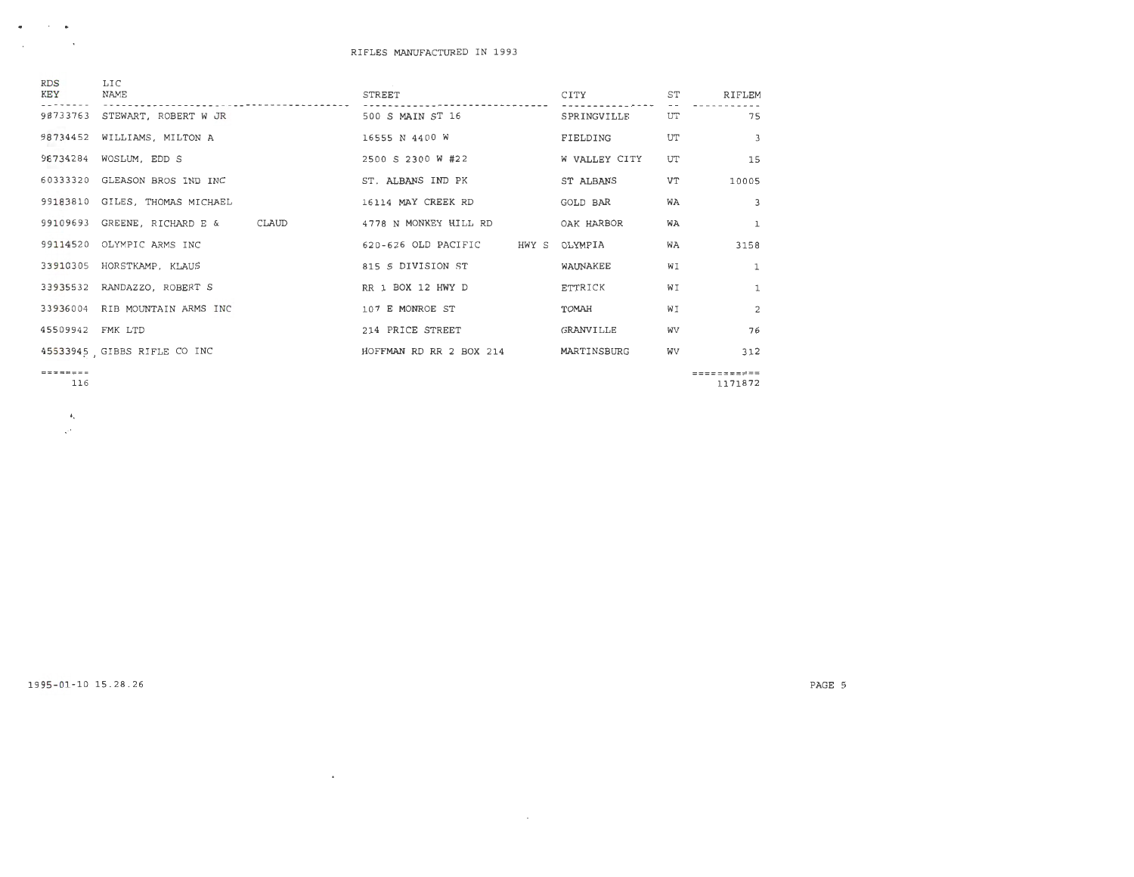| <b>RDS</b><br>KEY | LIC<br>NAME                           | STREET                       | CITY          | ST        | RIFLEM                 |
|-------------------|---------------------------------------|------------------------------|---------------|-----------|------------------------|
| 98733763          | STEWART, ROBERT W JR                  | 500 S MAIN ST 16             | SPRINGVILLE   | UT        | 75                     |
| 98734452          | WILLIAMS, MILTON A                    | 16555 N 4400 W               | FIELDING      | UT        | $\overline{3}$         |
| 98734284          | WOSLUM, EDD S                         | 2500 S 2300 W #22            | W VALLEY CITY | UT        | 15                     |
| 60333320          | GLEASON BROS IND INC                  | ST. ALBANS IND PK            | ST ALBANS     | <b>VT</b> | 10005                  |
| 99183810          | GILES, THOMAS MICHAEL                 | 16114 MAY CREEK RD           | GOLD BAR      | WA        | $\overline{3}$         |
|                   | 99109693 GREENE, RICHARD E &<br>CLAUD | 4778 N MONKEY HILL RD        | OAK HARBOR    | WA        | $\mathbf{1}$           |
| 99114520          | OLYMPIC ARMS INC                      | 620-626 OLD PACIFIC<br>HWY S | OLYMPIA       | WA        | 3158                   |
|                   | 33910305 HORSTKAMP, KLAUS             | 815 S DIVISION ST            | WAUNAKEE      | WI        | $\mathbf{1}$           |
|                   | 33935532 RANDAZZO, ROBERT S           | RR 1 BOX 12 HWY D            | ETTRICK       | WI        | $\mathbf{1}$           |
|                   | 33936004 RIB MOUNTAIN ARMS INC        | 107 E MONROE ST              | TOMAH         | WI        | 2                      |
| 45509942 FMK LTD  |                                       | 214 PRICE STREET             | GRANVILLE     | WV        | 76                     |
|                   | 45533945, GIBBS RIFLE CO INC          | HOFFMAN RD RR 2 BOX 214      | MARTINSBURG   | WV        | 312                    |
| ========<br>116   |                                       |                              |               |           | -----------<br>1171872 |

 $\sim$   $\sim$ 

 $\mathcal{L}^{\mathcal{L}}$  and  $\mathcal{L}^{\mathcal{L}}$ 

 $\ast.$ 

 $\mathcal{C}^{\prime}$ 

 $\alpha$  , and  $\alpha$  , and  $\alpha$  $\mathcal{L}_{\text{max}}$  and  $\mathcal{L}_{\text{max}}$  . The  $\mathcal{L}_{\text{max}}$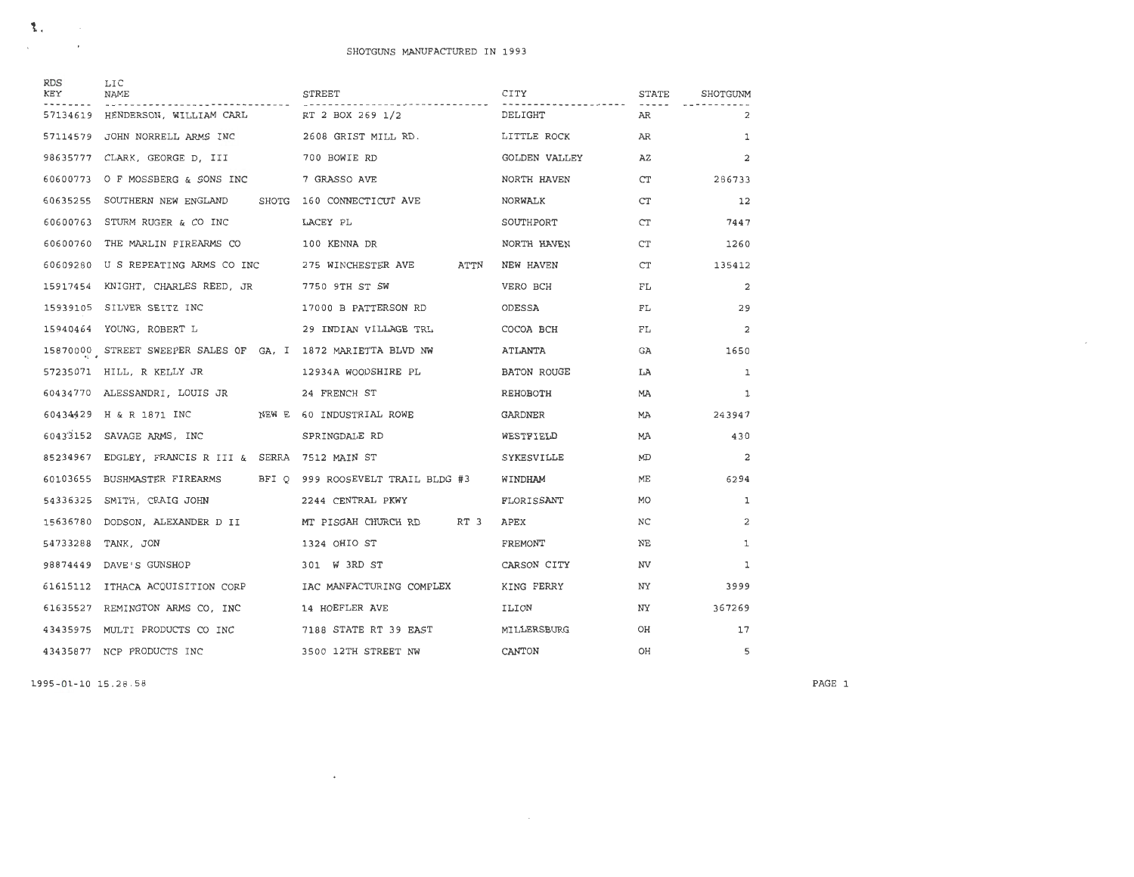| RDS<br>KEY | LIC<br>NAME                                                  | <b>STREET</b>                                                  | CITY          | STATE | SHOTGUNM       |
|------------|--------------------------------------------------------------|----------------------------------------------------------------|---------------|-------|----------------|
|            | 57134619 HENDERSON, WILLIAM CARL                             | RT 2 BOX 269 1/2                                               | DELIGHT       | AR.   |                |
| 57114579   |                                                              | JOHN NORRELL ARMS INC 2608 GRIST MILL RD.                      | LITTLE ROCK   | AR    | 1              |
| 98635777   | CLARK, GEORGE D, III 700 BOWIE RD                            |                                                                | GOLDEN VALLEY | ΑZ    | 2              |
|            | 60600773 O F MOSSBERG & SONS INC                             | 7 GRASSO AVE                                                   | NORTH HAVEN   | CT    | 286733         |
| 60635255   | SOUTHERN NEW ENGLAND                                         | SHOTG 160 CONNECTICUT AVE                                      | NORWALK       | CT    | 12             |
|            | 60600763 STURM RUGER & CO INC                                | LACEY PL                                                       | SOUTHPORT     | CT    | 7447           |
| 60600760   | THE MARLIN FIREARMS CO 100 KENNA DR                          |                                                                | NORTH HAVEN   | CT    | 1260           |
|            | 60609280 U S REPEATING ARMS CO INC                           | 275 WINCHESTER AVE<br>ATTN                                     | NEW HAVEN     | CT    | 135412         |
|            | 15917454 KNIGHT, CHARLES REED, JR 7750 9TH ST SW             |                                                                | VERO BCH      | FL    | $\overline{a}$ |
|            | 15939105 SILVER SEITZ INC                                    | 17000 B PATTERSON RD                                           | ODESSA        | FL    | 29             |
|            | 15940464 YOUNG, ROBERT L                                     | 29 INDIAN VILLAGE TRL                                          | COCOA BCH     | FL    | $\overline{2}$ |
|            | 15870000 STREET SWEEPER SALES OF GA, I 1872 MARIETTA BLVD NW |                                                                | ATLANTA       | GA    | 1650           |
|            | 57235071 HILL, R KELLY JR                                    | 12934A WOODSHIRE PL                                            | BATON ROUGE   | LA    | 1              |
|            | 60434770 ALESSANDRI, LOUIS JR                                | 24 FRENCH ST                                                   | REHOBOTH      | MA    | 1              |
|            | 60434429 H & R 1871 INC NEW E 60 INDUSTRIAL ROWE             |                                                                | GARDNER       | MA    | 243947         |
|            | 60433152 SAVAGE ARMS, INC                                    | SPRINGDALE RD                                                  | WESTFIELD     | MA    | 430            |
|            | 85234967 EDGLEY, FRANCIS R III & SERRA 7512 MAIN ST          |                                                                | SYKESVILLE    | MD    | $\overline{2}$ |
|            |                                                              | 60103655 BUSHMASTER FIREARMS BFI 0 999 ROOSEVELT TRAIL BLDG #3 | WINDHAM       | ME    | 6294           |
| 54336325   | SMITH, CRAIG JOHN                                            | 2244 CENTRAL PKWY                                              | FLORISSANT    | MO    | $\mathbf{1}$   |
| 15636780   | DODSON, ALEXANDER D II MT PISGAH CHURCH RD RT 3              |                                                                | APEX          | NC    | 2              |
| 54733288   | TANK, JON                                                    | 1324 OHIO ST                                                   | FREMONT       | NE    | 1              |
|            | 98874449 DAVE'S GUNSHOP                                      | 301 W 3RD ST                                                   | CARSON CITY   | NV    | 1              |
|            | 61615112 ITHACA ACQUISITION CORP                             | IAC MANFACTURING COMPLEX                                       | KING FERRY    | NY    | 3999           |
|            | 61635527 REMINGTON ARMS CO, INC 14 HOEFLER AVE               |                                                                | ILION         | NY    | 367269         |
|            |                                                              | 43435975 MULTI PRODUCTS CO INC 66 7188 STATE RT 39 EAST        | MILLERSBURG   | OH    | 17             |
|            | 43435877 NCP PRODUCTS INC                                    | 3500 12TH STREET NW                                            | CANTON        | OН    | 5              |

 $\sim$   $\sim$ 

1995-01-10 15. 2 8.58

PAGE 1

 $\Lambda_{\rm c}$  . The set

 $\mathcal{A}^{\mathcal{A}}$  and  $\mathcal{A}^{\mathcal{A}}$  and  $\mathcal{A}^{\mathcal{A}}$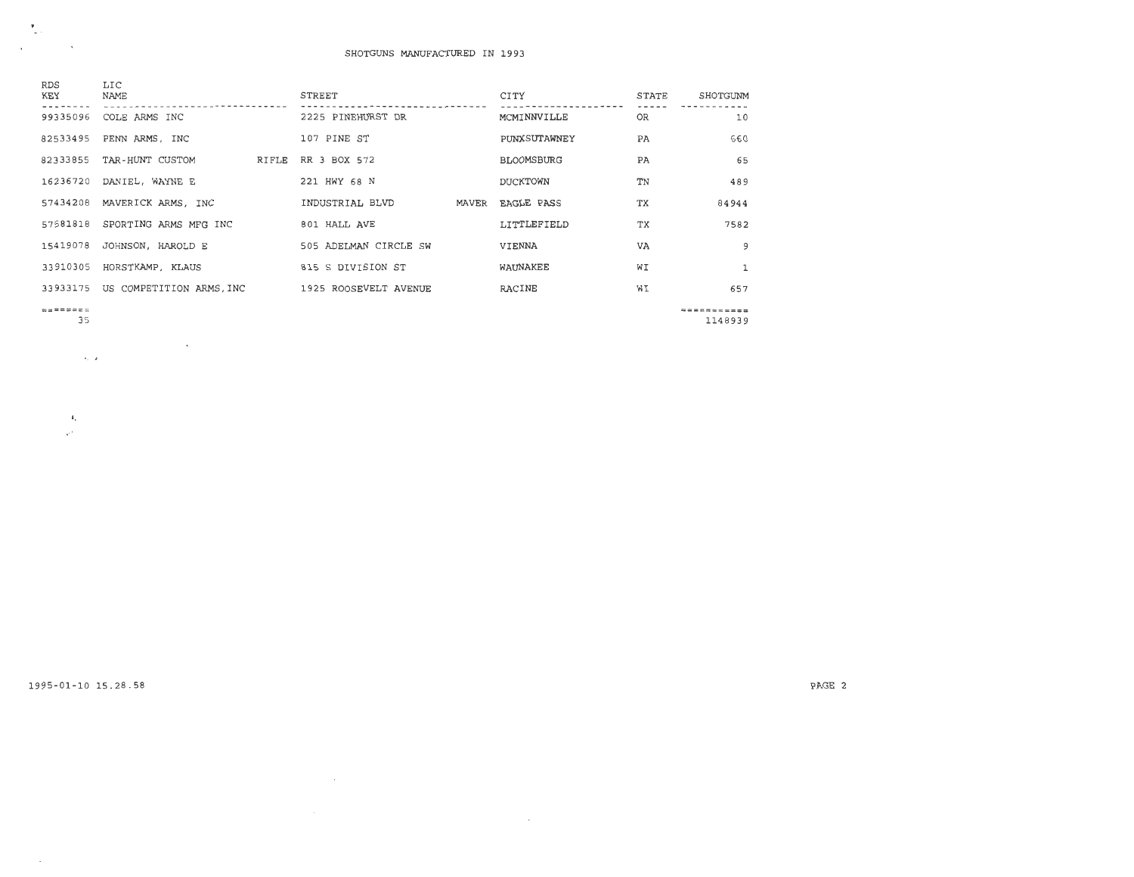| <b>RDS</b><br>KEY<br>99335096<br>82533495 | LIC<br>NAME<br>COLE ARMS INC<br>PENN ARMS, INC | <b>STREET</b><br>2225 PINEHURST DR<br>107 PINE ST | CITY<br>MCMINNVILLE<br>PUNXSUTAWNEY | STATE<br>OR<br>PA | SHOTGUNM<br>10<br>660 |
|-------------------------------------------|------------------------------------------------|---------------------------------------------------|-------------------------------------|-------------------|-----------------------|
| 82333855                                  | RIFLE<br>TAR-HUNT CUSTOM                       | RR 3 BOX 572                                      | <b>BLOOMSBURG</b>                   | PA                | 65                    |
| 16236720                                  | DANIEL, WAYNE E                                | 221 HWY 68 N                                      | DUCKTOWN                            | TN                | 489                   |
| 57434208                                  | MAVERICK ARMS, INC                             | INDUSTRIAL BLVD<br>MAVER                          | <b>EAGLE PASS</b>                   | <b>TX</b>         | 84944                 |
| 57581818                                  | SPORTING ARMS MFG INC                          | 801 HALL AVE                                      | LITTLEFIELD                         | <b>TX</b>         | 7582                  |
| 15419078                                  | JOHNSON, HAROLD E                              | 505 ADELMAN CIRCLE SW                             | VIENNA                              | VA                | 9                     |
| 33910305                                  | HORSTKAMP, KLAUS                               | 815 S DIVISION ST                                 | WAUNAKEE                            | WI                |                       |
| 33933175                                  | US COMPETITION ARMS, INC                       | 1925 ROOSEVELT AVENUE                             | RACINE                              | WI                | 657                   |
| =======<br>35                             |                                                |                                                   |                                     |                   | 1148939               |

and the control of the con-

 $\mathcal{L}^{\mathcal{L}}(\mathcal{L}^{\mathcal{L}}(\mathcal{L}^{\mathcal{L}}(\mathcal{L}^{\mathcal{L}})))$ 

 $\lambda_{\rm c}$  at

 $\label{eq:2.1} \frac{1}{\sqrt{2\pi}}\int_{0}^{\infty}\frac{1}{\sqrt{2\pi}}\left(\frac{1}{\sqrt{2\pi}}\right)^{2\alpha}e^{-\frac{1}{2\alpha}}\left(\frac{1}{\sqrt{2\pi}}\right)^{\alpha}e^{-\frac{1}{2\alpha}}\left(\frac{1}{\sqrt{2\pi}}\right)^{\alpha}e^{-\frac{1}{2\alpha}}.$ 

 $\mathcal{P}_\perp$  $\sim$ 

 $\sim 100$ 

 $\frac{4\pi}{\omega^2}$ 

1995-01-10 15.28.58

 $\sim$   $\sim$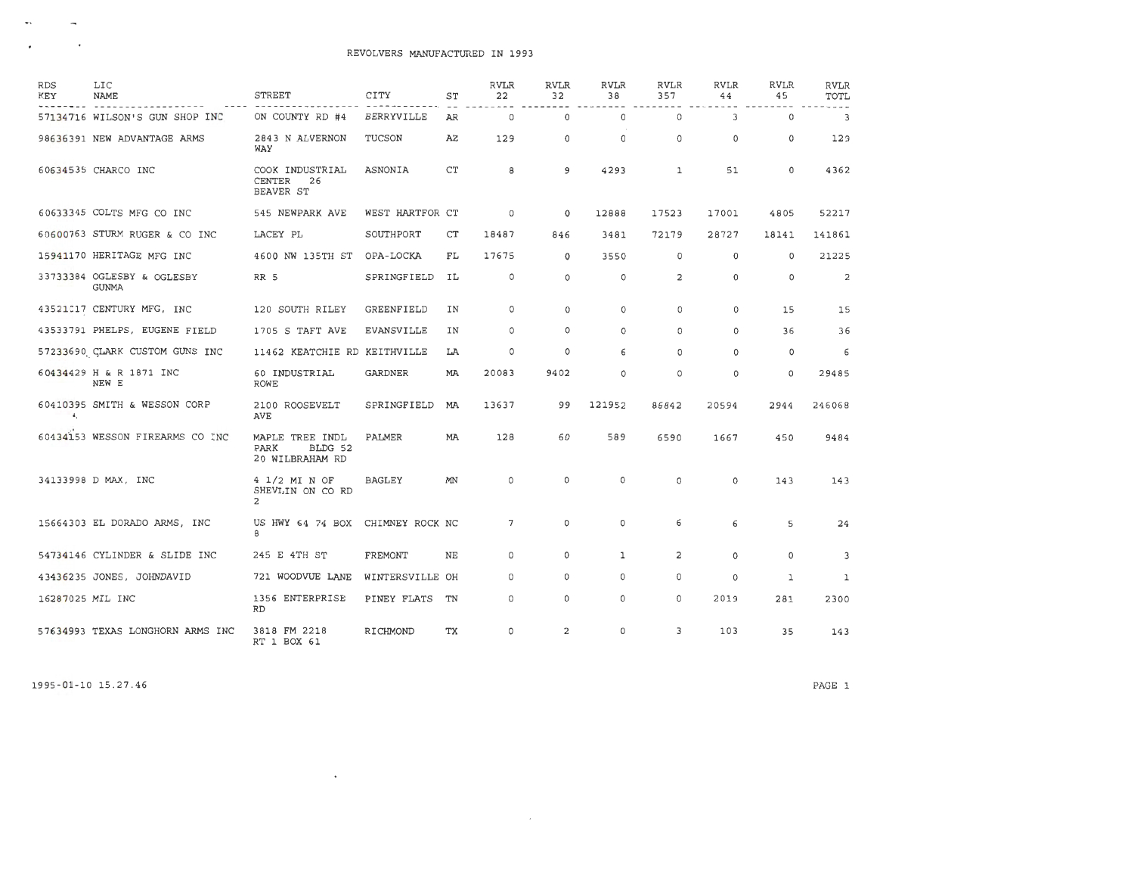## REVOLVERS MANUFACTURED IN 1993

| <b>RDS</b><br>KEY | LIC<br>NAME                                | <b>STREET</b>                                         | CITY              | ST | <b>RVLR</b><br>22 | <b>RVLR</b><br>32 | <b>RVLR</b><br>38 | <b>RVLR</b><br>357      | <b>RVLR</b><br>44 | <b>RVLR</b><br>45 | <b>RVLR</b><br>TOTL     |
|-------------------|--------------------------------------------|-------------------------------------------------------|-------------------|----|-------------------|-------------------|-------------------|-------------------------|-------------------|-------------------|-------------------------|
|                   | 57134716 WILSON'S GUN SHOP INC             | ON COUNTY RD #4                                       | BERRYVILLE        | AR | $\circ$           | $\Omega$          | $\Omega$          | $\Omega$                | 3                 | $\Omega$          | $\overline{\mathbf{3}}$ |
|                   | 98636391 NEW ADVANTAGE ARMS                | 2843 N ALVERNON<br>WAY                                | TUCSON            | ΑZ | 129               | 0                 | 0                 | 0                       | $\Omega$          | $\Omega$          | 129                     |
|                   | 60634535 CHARCO INC                        | COOK INDUSTRIAL<br>CENTER<br>26<br>BEAVER ST          | ASNONIA           | CT | 8                 | 9                 | 4293              | 1                       | 51                | $\Omega$          | 4362                    |
|                   | 60633345 COLTS MFG CO INC                  | 545 NEWPARK AVE                                       | WEST HARTFOR CT   |    | $\circ$           | $\circ$           | 12888             | 17523                   | 17001             | 4805              | 52217                   |
|                   | 60600763 STURM RUGER & CO INC              | LACEY PL                                              | SOUTHPORT         | CT | 18487             | 846               | 3481              | 72179                   | 28727             | 18141             | 141861                  |
|                   | 15941170 HERITAGE MFG INC                  | 4600 NW 135TH ST                                      | OPA-LOCKA         | FL | 17675             | $\circ$           | 3550              | $\circ$                 | $\circ$           | $\circ$           | 21225                   |
|                   | 33733384 OGLESBY & OGLESBY<br><b>GUNMA</b> | RR 5                                                  | SPRINGFIELD       | IL | 0                 | $\circ$           | 0                 | 2                       | $\circ$           | 0                 | $\overline{a}$          |
|                   | 43521017 CENTURY MFG, INC                  | 120 SOUTH RILEY                                       | GREENFIELD        | IN | $\Omega$          | $\Omega$          | $\Omega$          | $\Omega$                | $\Omega$          | 15                | 15                      |
|                   | 43533791 PHELPS, EUGENE FIELD              | 1705 S TAFT AVE                                       | <b>EVANSVILLE</b> | IN | $\circ$           | $\Omega$          | $\Omega$          | $\Omega$                | 0                 | 36                | 36                      |
|                   | 57233690 CLARK CUSTOM GUNS INC             | 11462 KEATCHIE RD KEITHVILLE                          |                   | LA | O                 | $\circ$           | 6                 | 0                       | $\circ$           | 0                 | 6                       |
|                   | 60434429 H & R 1871 INC<br>NEW E           | 60 INDUSTRIAL<br><b>ROWE</b>                          | <b>GARDNER</b>    | MA | 20083             | 9402              | 0                 | $\circ$                 | 0                 | $\circ$           | 29485                   |
| $\Phi_{\rm m}$    | 60410395 SMITH & WESSON CORP               | 2100 ROOSEVELT<br><b>AVE</b>                          | SPRINGFIELD       | MA | 13637             | 99                | 121952            | 86842                   | 20594             | 2944              | 246068                  |
|                   | 60434153 WESSON FIREARMS CO INC            | MAPLE TREE INDL<br>PARK<br>BLDG 52<br>20 WILBRAHAM RD | PALMER            | MA | 128               | 60                | 589               | 6590                    | 1667              | 450               | 9484                    |
|                   | 34133998 D MAX, INC                        | 4 1/2 MI N OF<br>SHEVLIN ON CO RD<br>2                | <b>BAGLEY</b>     | MN | 0                 | $\Omega$          | $\circ$           | 0                       | $\circ$           | 143               | 143                     |
|                   | 15664303 EL DORADO ARMS, INC               | US HWY 64 74 BOX<br>8                                 | CHIMNEY ROCK NC   |    | $\overline{7}$    | $\circ$           | 0                 | 6                       | 6                 | 5                 | 24                      |
|                   | 54734146 CYLINDER & SLIDE INC              | 245 E 4TH ST                                          | <b>FREMONT</b>    | NΕ | $\Omega$          | $\circ$           | 1                 | $\overline{\mathbf{2}}$ | $\Omega$          | 0                 | 3                       |
|                   | 43436235 JONES, JOHNDAVID                  | 721 WOODVUE LANE                                      | WINTERSVILLE OH   |    | $\Omega$          | $\circ$           | 0                 | 0                       | $\circ$           | $\mathbf{1}$      | 1                       |
|                   | 16287025 MIL INC                           | 1356 ENTERPRISE<br><b>RD</b>                          | PINEY FLATS       | TN | O                 | $\circ$           | $\Omega$          | 0                       | 2019              | 281               | 2300                    |
|                   | 57634993 TEXAS LONGHORN ARMS INC           | 3818 FM 2218<br>RT 1 BOX 61                           | RICHMOND          | TX | $\circ$           | $\overline{a}$    | $\circ$           | 3                       | 103               | 35                | 143                     |

 $\mathcal{L}^{\text{max}}_{\text{max}}$ 

 $\sim 100$ 

1995-01-1 0 15.27 . 46

 $\mathbf{w}_1$  , and  $\mathbf{w}_2$  $\mathcal{A}^{\mathcal{A}}$  , and  $\mathcal{A}^{\mathcal{A}}$ 

PAGE l